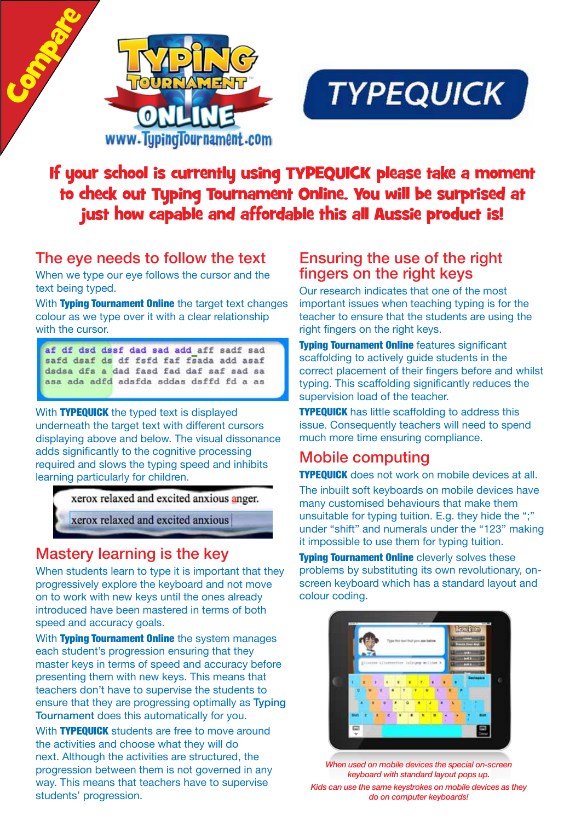



# If your school is currently using TYPEQUICK please take a moment to check out Typing Tournament Online. You will be surprised at just how capable and affordable this all Aussie product is!

## The eye needs to follow the text

When we type our eye follows the cursor and the text being typed.

With Typing Tournament Online the target text changes colour as we type over it with a clear relationship with the cursor.

af df dsd dssf dad sad add aff sadf sad safd dsaf ds df fsfd faf fsada add asaf dsdsa dfs a dad fasd fad daf saf sad sa asa ada adfd adsfda sddas dsffd fd a as

With **TYPEQUICK** the typed text is displayed underneath the target text with different cursors displaying above and below. The visual dissonance adds significantly to the cognitive processing required and slows the typing speed and inhibits learning particularly for children.

xerox relaxed and excited anxious anger.

xerox relaxed and excited anxious

# Mastery learning is the key

When students learn to type it is important that they progressively explore the keyboard and not move on to work with new keys until the ones already introduced have been mastered in terms of both speed and accuracy goals.

With Typing Tournament Online the system manages each student's progression ensuring that they master keys in terms of speed and accuracy before presenting them with new keys. This means that teachers don't have to supervise the students to ensure that they are progressing optimally as Typing Tournament does this automatically for you.

With **TYPEQUICK** students are free to move around the activities and choose what they will do next. Although the activities are structured, the progression between them is not governed in any way. This means that teachers have to supervise students' progression.

### Ensuring the use of the right fingers on the right keys

Our research indicates that one of the most important issues when teaching typing is for the teacher to ensure that the students are using the right fingers on the right keys.

**Typing Tournament Online features significant** scaffolding to actively guide students in the correct placement of their fingers before and whilst typing. This scaffolding significantly reduces the supervision load of the teacher.

**TYPEQUICK** has little scaffolding to address this issue. Consequently teachers will need to spend much more time ensuring compliance.

## Mobile computing

**TYPEQUICK** does not work on mobile devices at all.

The inbuilt soft keyboards on mobile devices have many customised behaviours that make them unsuitable for typing tuition. E.g. they hide the ";" under "shift" and numerals under the "123" making it impossible to use them for typing tuition.

**Typing Tournament Online cleverly solves these** problems by substituting its own revolutionary, onscreen keyboard which has a standard layout and colour coding.



*When used on mobile devices the special on-screen keyboard with standard layout pops up. Kids can use the same keystrokes on mobile devices as they* 

*do on computer keyboards!*